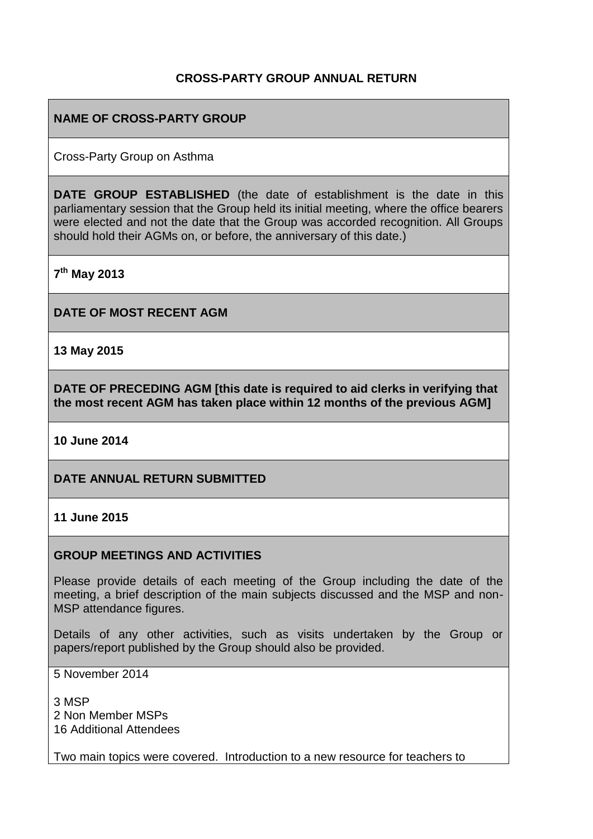### **CROSS-PARTY GROUP ANNUAL RETURN**

### **NAME OF CROSS-PARTY GROUP**

Cross-Party Group on Asthma

**DATE GROUP ESTABLISHED** (the date of establishment is the date in this parliamentary session that the Group held its initial meeting, where the office bearers were elected and not the date that the Group was accorded recognition. All Groups should hold their AGMs on, or before, the anniversary of this date.)

**7 th May 2013**

**DATE OF MOST RECENT AGM**

**13 May 2015**

**DATE OF PRECEDING AGM [this date is required to aid clerks in verifying that the most recent AGM has taken place within 12 months of the previous AGM]**

**10 June 2014**

**DATE ANNUAL RETURN SUBMITTED**

**11 June 2015**

#### **GROUP MEETINGS AND ACTIVITIES**

Please provide details of each meeting of the Group including the date of the meeting, a brief description of the main subjects discussed and the MSP and non-MSP attendance figures.

Details of any other activities, such as visits undertaken by the Group or papers/report published by the Group should also be provided.

5 November 2014

3 MSP 2 Non Member MSPs 16 Additional Attendees

Two main topics were covered. Introduction to a new resource for teachers to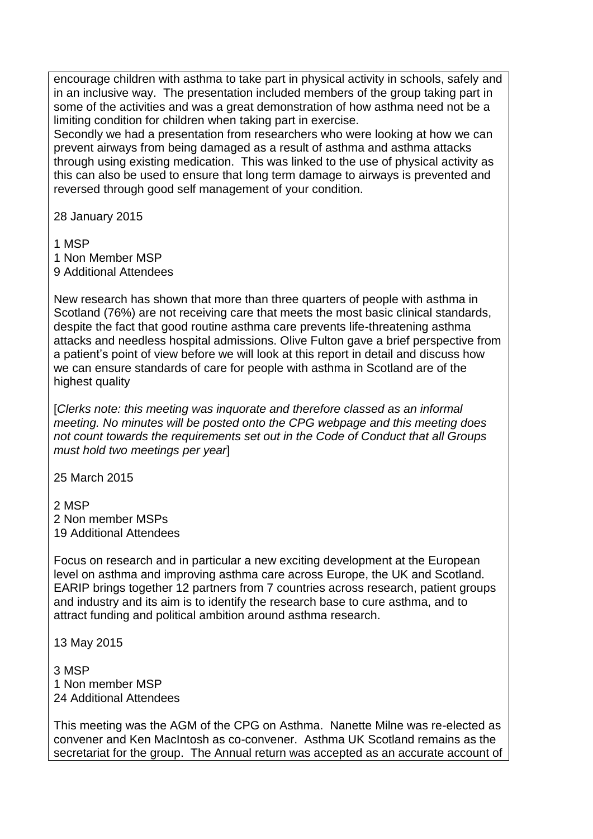encourage children with asthma to take part in physical activity in schools, safely and in an inclusive way. The presentation included members of the group taking part in some of the activities and was a great demonstration of how asthma need not be a limiting condition for children when taking part in exercise.

Secondly we had a presentation from researchers who were looking at how we can prevent airways from being damaged as a result of asthma and asthma attacks through using existing medication. This was linked to the use of physical activity as this can also be used to ensure that long term damage to airways is prevented and reversed through good self management of your condition.

28 January 2015

1 MSP 1 Non Member MSP 9 Additional Attendees

New research has shown that more than three quarters of people with asthma in Scotland (76%) are not receiving care that meets the most basic clinical standards, despite the fact that good routine asthma care prevents life-threatening asthma attacks and needless hospital admissions. Olive Fulton gave a brief perspective from a patient's point of view before we will look at this report in detail and discuss how we can ensure standards of care for people with asthma in Scotland are of the highest quality

[*Clerks note: this meeting was inquorate and therefore classed as an informal meeting. No minutes will be posted onto the CPG webpage and this meeting does not count towards the requirements set out in the Code of Conduct that all Groups must hold two meetings per year*]

25 March 2015

2 MSP 2 Non member MSPs 19 Additional Attendees

Focus on research and in particular a new exciting development at the European level on asthma and improving asthma care across Europe, the UK and Scotland. EARIP brings together 12 partners from 7 countries across research, patient groups and industry and its aim is to identify the research base to cure asthma, and to attract funding and political ambition around asthma research.

13 May 2015

3 MSP 1 Non member MSP 24 Additional Attendees

This meeting was the AGM of the CPG on Asthma. Nanette Milne was re-elected as convener and Ken MacIntosh as co-convener. Asthma UK Scotland remains as the secretariat for the group. The Annual return was accepted as an accurate account of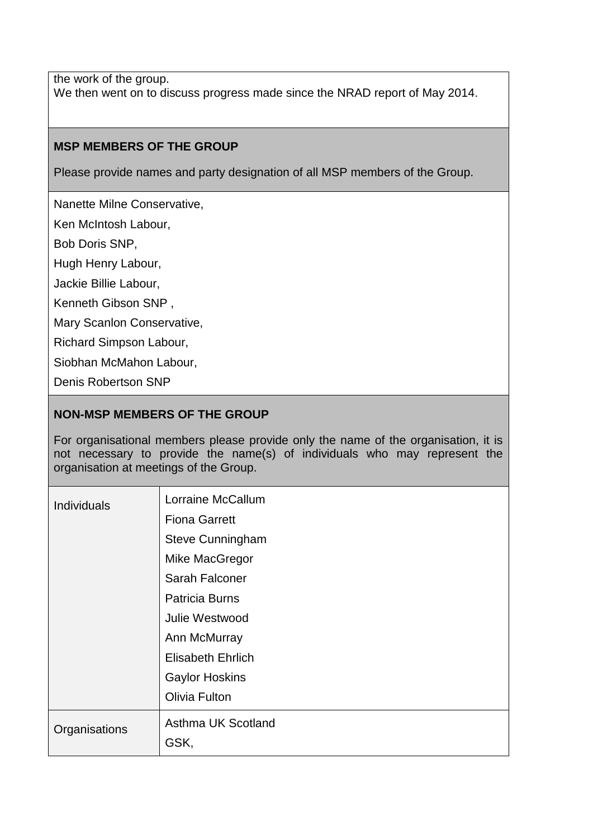the work of the group. We then went on to discuss progress made since the NRAD report of May 2014.

#### **MSP MEMBERS OF THE GROUP**

Please provide names and party designation of all MSP members of the Group.

Nanette Milne Conservative,

Ken McIntosh Labour,

Bob Doris SNP,

Hugh Henry Labour,

Jackie Billie Labour,

Kenneth Gibson SNP ,

Mary Scanlon Conservative,

Richard Simpson Labour,

Siobhan McMahon Labour,

Denis Robertson SNP

#### **NON-MSP MEMBERS OF THE GROUP**

For organisational members please provide only the name of the organisation, it is not necessary to provide the name(s) of individuals who may represent the organisation at meetings of the Group.

| Individuals   | Lorraine McCallum<br><b>Fiona Garrett</b><br>Steve Cunningham<br>Mike MacGregor<br>Sarah Falconer<br><b>Patricia Burns</b><br>Julie Westwood<br>Ann McMurray<br><b>Elisabeth Ehrlich</b><br><b>Gaylor Hoskins</b> |
|---------------|-------------------------------------------------------------------------------------------------------------------------------------------------------------------------------------------------------------------|
|               | Olivia Fulton                                                                                                                                                                                                     |
| Organisations | Asthma UK Scotland<br>GSK,                                                                                                                                                                                        |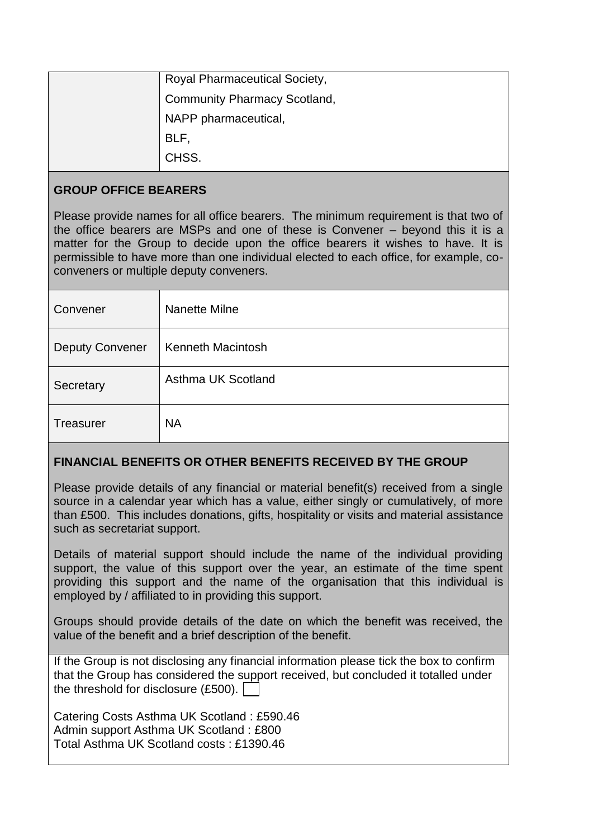| <b>Royal Pharmaceutical Society,</b> |
|--------------------------------------|
| <b>Community Pharmacy Scotland,</b>  |
| NAPP pharmaceutical,                 |
| BLF,                                 |
| CHSS.                                |

### **GROUP OFFICE BEARERS**

Please provide names for all office bearers. The minimum requirement is that two of the office bearers are MSPs and one of these is Convener – beyond this it is a matter for the Group to decide upon the office bearers it wishes to have. It is permissible to have more than one individual elected to each office, for example, coconveners or multiple deputy conveners.

| Convener               | Nanette Milne            |
|------------------------|--------------------------|
| <b>Deputy Convener</b> | <b>Kenneth Macintosh</b> |
| Secretary              | Asthma UK Scotland       |
| <b>Treasurer</b>       | <b>NA</b>                |

## **FINANCIAL BENEFITS OR OTHER BENEFITS RECEIVED BY THE GROUP**

Please provide details of any financial or material benefit(s) received from a single source in a calendar year which has a value, either singly or cumulatively, of more than £500. This includes donations, gifts, hospitality or visits and material assistance such as secretariat support.

Details of material support should include the name of the individual providing support, the value of this support over the year, an estimate of the time spent providing this support and the name of the organisation that this individual is employed by / affiliated to in providing this support.

Groups should provide details of the date on which the benefit was received, the value of the benefit and a brief description of the benefit.

If the Group is not disclosing any financial information please tick the box to confirm that the Group has considered the support received, but concluded it totalled under the threshold for disclosure (£500).

Catering Costs Asthma UK Scotland : £590.46 Admin support Asthma UK Scotland : £800 Total Asthma UK Scotland costs : £1390.46